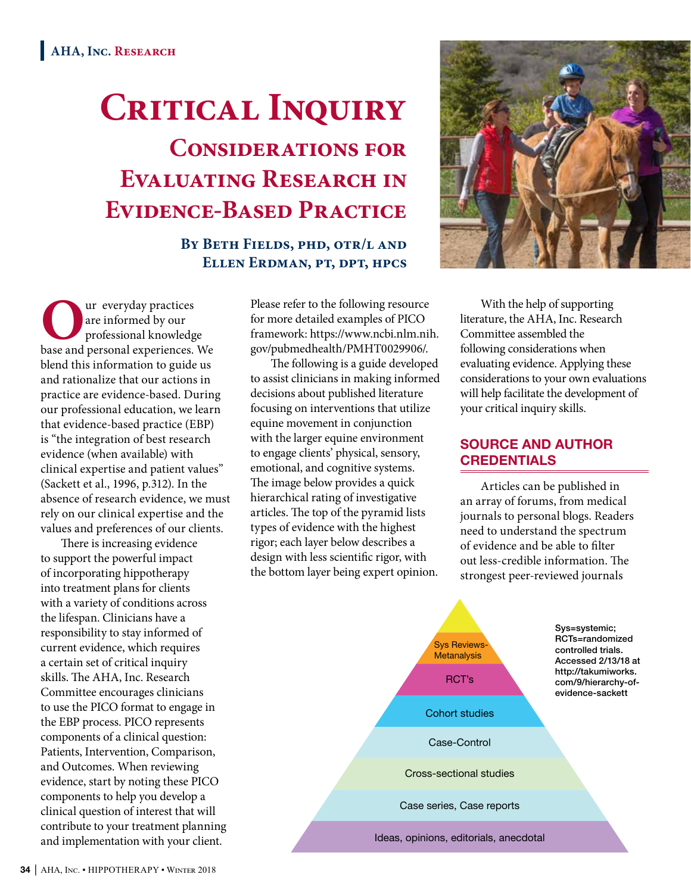# **Critical Inquiry Considerations for Evaluating Research in Evidence-Based Practice**

**By Beth Fields, phd, otr/l and Ellen Erdman, pt, dpt, hpcs**

**O**ur everyday practices base and personal experiences. We are informed by our professional knowledge blend this information to guide us and rationalize that our actions in practice are evidence-based. During our professional education, we learn that evidence-based practice (EBP) is "the integration of best research evidence (when available) with clinical expertise and patient values" (Sackett et al., 1996, p.312). In the absence of research evidence, we must rely on our clinical expertise and the values and preferences of our clients.

There is increasing evidence to support the powerful impact of incorporating hippotherapy into treatment plans for clients with a variety of conditions across the lifespan. Clinicians have a responsibility to stay informed of current evidence, which requires a certain set of critical inquiry skills. The AHA, Inc. Research Committee encourages clinicians to use the PICO format to engage in the EBP process. PICO represents components of a clinical question: Patients, Intervention, Comparison, and Outcomes. When reviewing evidence, start by noting these PICO components to help you develop a clinical question of interest that will contribute to your treatment planning and implementation with your client.

Please refer to the following resource for more detailed examples of PICO framework: https://www.ncbi.nlm.nih. gov/pubmedhealth/PMHT0029906/.

The following is a guide developed to assist clinicians in making informed decisions about published literature focusing on interventions that utilize equine movement in conjunction with the larger equine environment to engage clients' physical, sensory, emotional, and cognitive systems. The image below provides a quick hierarchical rating of investigative articles. The top of the pyramid lists types of evidence with the highest rigor; each layer below describes a design with less scientific rigor, with the bottom layer being expert opinion.



With the help of supporting literature, the AHA, Inc. Research Committee assembled the following considerations when evaluating evidence. Applying these considerations to your own evaluations will help facilitate the development of your critical inquiry skills.

#### SOURCE AND AUTHOR **CREDENTIALS**

Articles can be published in an array of forums, from medical journals to personal blogs. Readers need to understand the spectrum of evidence and be able to filter out less-credible information. The strongest peer-reviewed journals

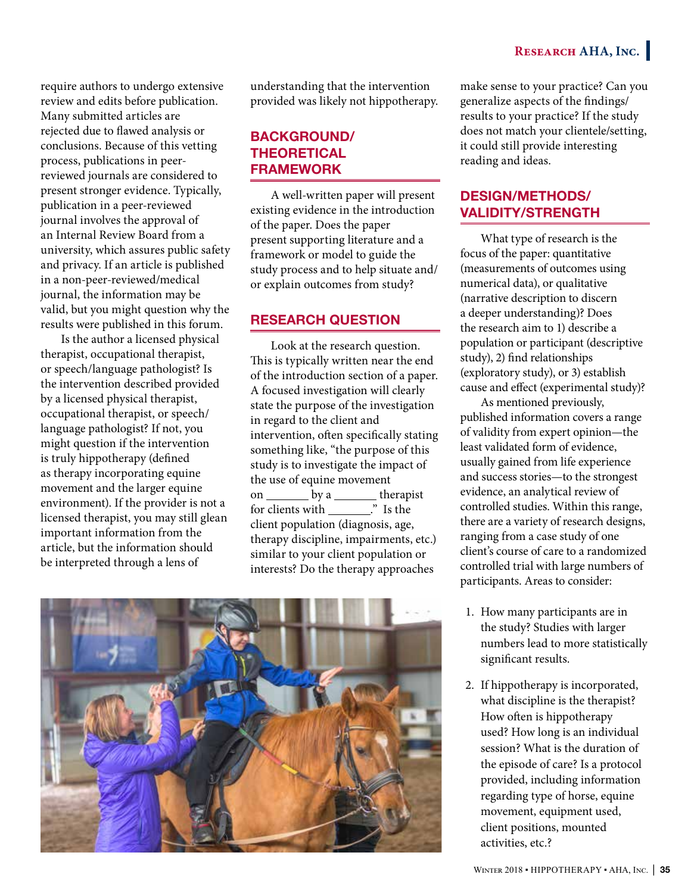**RESEARCH AHA, INC.** 

require authors to undergo extensive review and edits before publication. Many submitted articles are rejected due to flawed analysis or conclusions. Because of this vetting process, publications in peerreviewed journals are considered to present stronger evidence. Typically, publication in a peer-reviewed journal involves the approval of an Internal Review Board from a university, which assures public safety and privacy. If an article is published in a non-peer-reviewed/medical journal, the information may be valid, but you might question why the results were published in this forum.

Is the author a licensed physical therapist, occupational therapist, or speech/language pathologist? Is the intervention described provided by a licensed physical therapist, occupational therapist, or speech/ language pathologist? If not, you might question if the intervention is truly hippotherapy (defined as therapy incorporating equine movement and the larger equine environment). If the provider is not a licensed therapist, you may still glean important information from the article, but the information should be interpreted through a lens of

understanding that the intervention provided was likely not hippotherapy.

## BACKGROUND/ THEORETICAL FRAMEWORK

A well-written paper will present existing evidence in the introduction of the paper. Does the paper present supporting literature and a framework or model to guide the study process and to help situate and/ or explain outcomes from study?

#### RESEARCH QUESTION

Look at the research question. This is typically written near the end of the introduction section of a paper. A focused investigation will clearly state the purpose of the investigation in regard to the client and intervention, often specifically stating something like, "the purpose of this study is to investigate the impact of the use of equine movement on \_\_\_\_\_\_\_\_ by a \_\_\_\_\_\_\_\_ therapist for clients with  $\frac{1}{\sqrt{1}}$  is the client population (diagnosis, age, therapy discipline, impairments, etc.) similar to your client population or interests? Do the therapy approaches



make sense to your practice? Can you generalize aspects of the findings/ results to your practice? If the study does not match your clientele/setting, it could still provide interesting reading and ideas.

#### DESIGN/METHODS/ VALIDITY/STRENGTH

What type of research is the focus of the paper: quantitative (measurements of outcomes using numerical data), or qualitative (narrative description to discern a deeper understanding)? Does the research aim to 1) describe a population or participant (descriptive study), 2) find relationships (exploratory study), or 3) establish cause and effect (experimental study)?

As mentioned previously, published information covers a range of validity from expert opinion—the least validated form of evidence, usually gained from life experience and success stories—to the strongest evidence, an analytical review of controlled studies. Within this range, there are a variety of research designs, ranging from a case study of one client's course of care to a randomized controlled trial with large numbers of participants. Areas to consider:

- 1. How many participants are in the study? Studies with larger numbers lead to more statistically significant results.
- 2. If hippotherapy is incorporated, what discipline is the therapist? How often is hippotherapy used? How long is an individual session? What is the duration of the episode of care? Is a protocol provided, including information regarding type of horse, equine movement, equipment used, client positions, mounted activities, etc.?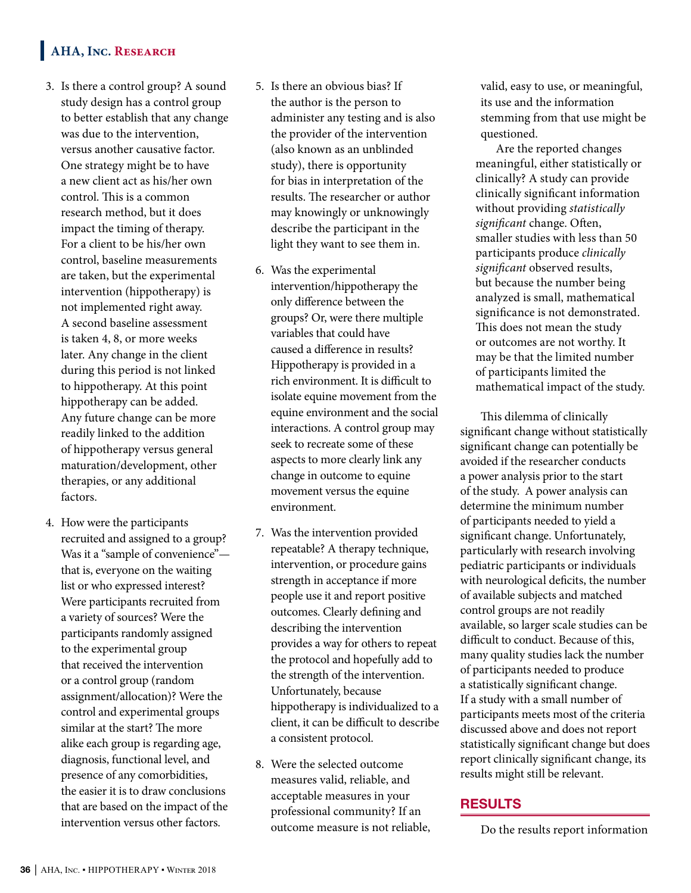# **AHA, Inc. Research**

- 3. Is there a control group? A sound study design has a control group to better establish that any change was due to the intervention, versus another causative factor. One strategy might be to have a new client act as his/her own control. This is a common research method, but it does impact the timing of therapy. For a client to be his/her own control, baseline measurements are taken, but the experimental intervention (hippotherapy) is not implemented right away. A second baseline assessment is taken 4, 8, or more weeks later. Any change in the client during this period is not linked to hippotherapy. At this point hippotherapy can be added. Any future change can be more readily linked to the addition of hippotherapy versus general maturation/development, other therapies, or any additional factors.
- 4. How were the participants recruited and assigned to a group? Was it a "sample of convenience" that is, everyone on the waiting list or who expressed interest? Were participants recruited from a variety of sources? Were the participants randomly assigned to the experimental group that received the intervention or a control group (random assignment/allocation)? Were the control and experimental groups similar at the start? The more alike each group is regarding age, diagnosis, functional level, and presence of any comorbidities, the easier it is to draw conclusions that are based on the impact of the intervention versus other factors.
- 5. Is there an obvious bias? If the author is the person to administer any testing and is also the provider of the intervention (also known as an unblinded study), there is opportunity for bias in interpretation of the results. The researcher or author may knowingly or unknowingly describe the participant in the light they want to see them in.
- 6. Was the experimental intervention/hippotherapy the only difference between the groups? Or, were there multiple variables that could have caused a difference in results? Hippotherapy is provided in a rich environment. It is difficult to isolate equine movement from the equine environment and the social interactions. A control group may seek to recreate some of these aspects to more clearly link any change in outcome to equine movement versus the equine environment.
- 7. Was the intervention provided repeatable? A therapy technique, intervention, or procedure gains strength in acceptance if more people use it and report positive outcomes. Clearly defining and describing the intervention provides a way for others to repeat the protocol and hopefully add to the strength of the intervention. Unfortunately, because hippotherapy is individualized to a client, it can be difficult to describe a consistent protocol.
- 8. Were the selected outcome measures valid, reliable, and acceptable measures in your professional community? If an outcome measure is not reliable,

valid, easy to use, or meaningful, its use and the information stemming from that use might be questioned.

Are the reported changes meaningful, either statistically or clinically? A study can provide clinically significant information without providing *statistically significant* change. Often, smaller studies with less than 50 participants produce *clinically significant* observed results, but because the number being analyzed is small, mathematical significance is not demonstrated. This does not mean the study or outcomes are not worthy. It may be that the limited number of participants limited the mathematical impact of the study.

This dilemma of clinically significant change without statistically significant change can potentially be avoided if the researcher conducts a power analysis prior to the start of the study. A power analysis can determine the minimum number of participants needed to yield a significant change. Unfortunately, particularly with research involving pediatric participants or individuals with neurological deficits, the number of available subjects and matched control groups are not readily available, so larger scale studies can be difficult to conduct. Because of this, many quality studies lack the number of participants needed to produce a statistically significant change. If a study with a small number of participants meets most of the criteria discussed above and does not report statistically significant change but does report clinically significant change, its results might still be relevant.

#### RESULTS

Do the results report information